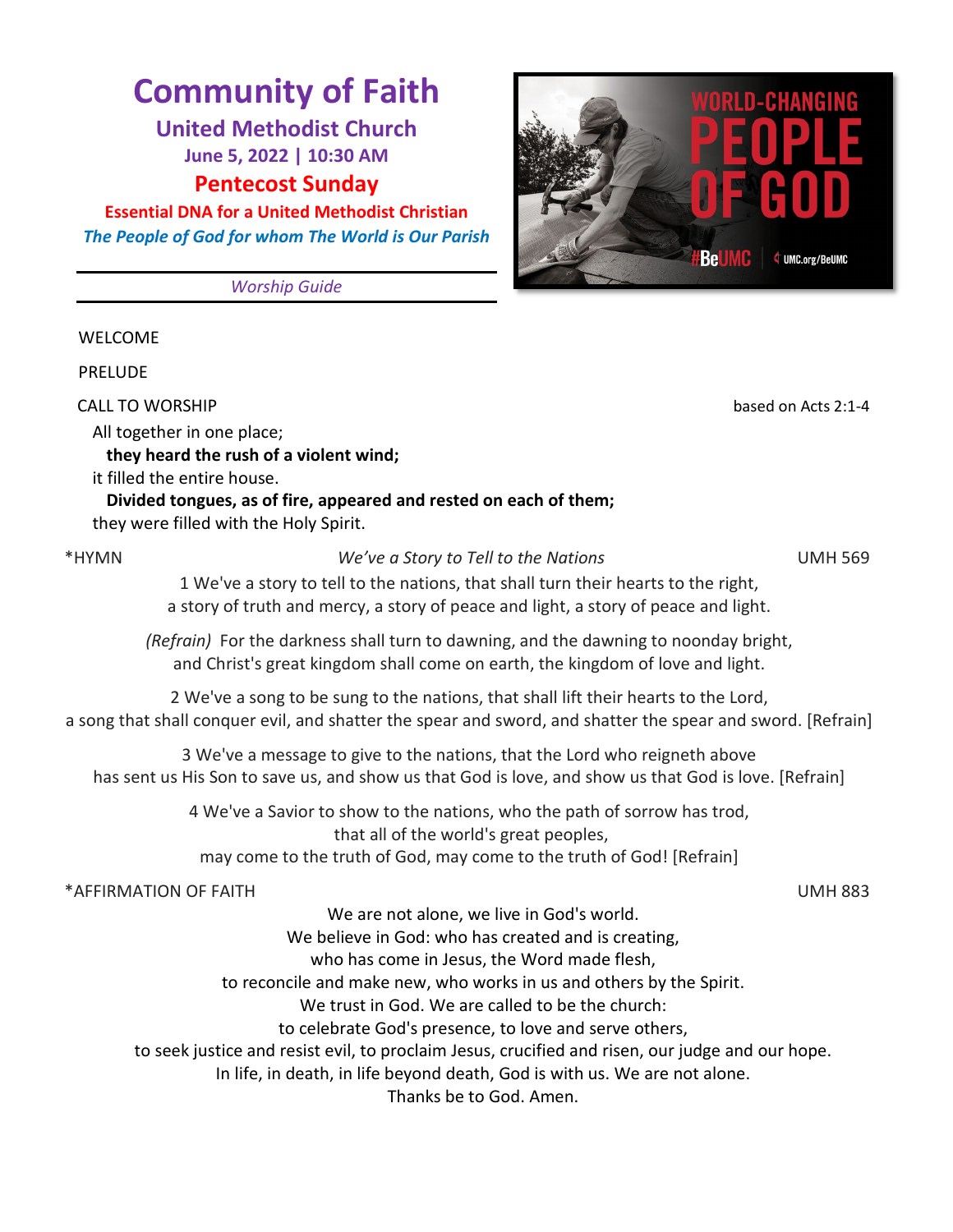# **Community of Faith**

# **United Methodist Church June 5, 2022 | 10:30 AM Pentecost Sunday**

**Essential DNA for a United Methodist Christian** *The People of God for whom The World is Our Parish*

*Worship Guide*

**they heard the rush of a violent wind;** 

they were filled with the Holy Spirit.

#### WELCOME

PRELUDE

CALL TO WORSHIP based on Acts 2:1-4

All together in one place;

it filled the entire house.

\*HYMN *We've a Story to Tell to the Nations* UMH 569 1 We've a story to tell to the nations, that shall turn their hearts to the right, a story of truth and mercy, a story of peace and light, a story of peace and light.

**Divided tongues, as of fire, appeared and rested on each of them;**

*(Refrain)* For the darkness shall turn to dawning, and the dawning to noonday bright, and Christ's great kingdom shall come on earth, the kingdom of love and light.

2 We've a song to be sung to the nations, that shall lift their hearts to the Lord, a song that shall conquer evil, and shatter the spear and sword, and shatter the spear and sword. [Refrain]

3 We've a message to give to the nations, that the Lord who reigneth above has sent us His Son to save us, and show us that God is love, and show us that God is love. [Refrain]

> 4 We've a Savior to show to the nations, who the path of sorrow has trod, that all of the world's great peoples, may come to the truth of God, may come to the truth of God! [Refrain]

### \*AFFIRMATION OF FAITH UMH 883

We are not alone, we live in God's world. We believe in God: who has created and is creating, who has come in Jesus, the Word made flesh, to reconcile and make new, who works in us and others by the Spirit. We trust in God. We are called to be the church: to celebrate God's presence, to love and serve others, to seek justice and resist evil, to proclaim Jesus, crucified and risen, our judge and our hope.

In life, in death, in life beyond death, God is with us. We are not alone.

Thanks be to God. Amen.

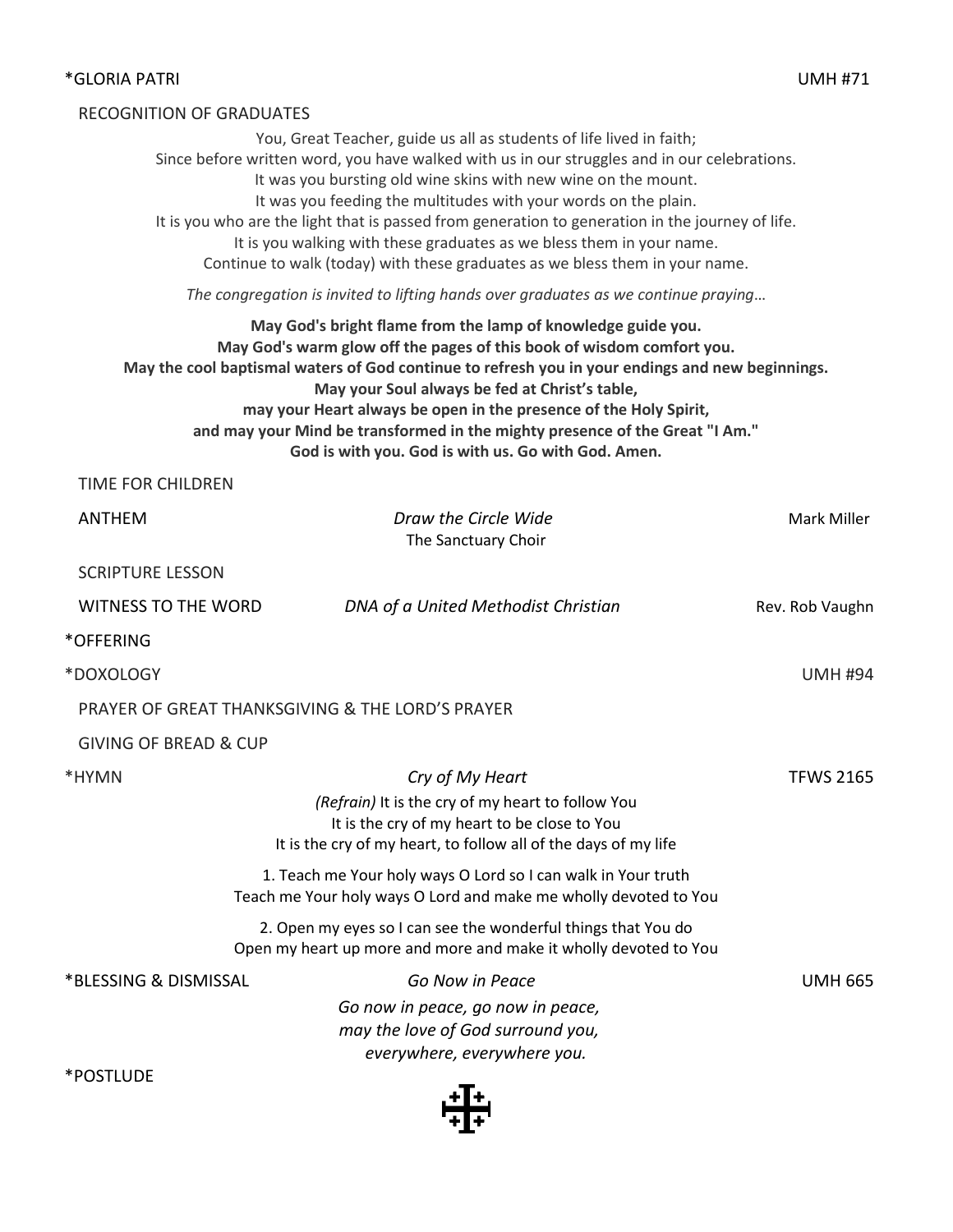### \*GLORIA PATRI UMH #71

#### RECOGNITION OF GRADUATES

You, Great Teacher, guide us all as students of life lived in faith; Since before written word, you have walked with us in our struggles and in our celebrations. It was you bursting old wine skins with new wine on the mount. It was you feeding the multitudes with your words on the plain. It is you who are the light that is passed from generation to generation in the journey of life. It is you walking with these graduates as we bless them in your name. Continue to walk (today) with these graduates as we bless them in your name.

*The congregation is invited to lifting hands over graduates as we continue praying*…

**May God's bright flame from the lamp of knowledge guide you. May God's warm glow off the pages of this book of wisdom comfort you. May the cool baptismal waters of God continue to refresh you in your endings and new beginnings. May your Soul always be fed at Christ's table, may your Heart always be open in the presence of the Holy Spirit, and may your Mind be transformed in the mighty presence of the Great "I Am." God is with you. God is with us. Go with God. Amen.**

#### TIME FOR CHILDREN

| <b>ANTHEM</b>                    | Draw the Circle Wide<br>The Sanctuary Choir                                                                                                                                             | Mark Miller      |
|----------------------------------|-----------------------------------------------------------------------------------------------------------------------------------------------------------------------------------------|------------------|
| <b>SCRIPTURE LESSON</b>          |                                                                                                                                                                                         |                  |
| <b>WITNESS TO THE WORD</b>       | DNA of a United Methodist Christian                                                                                                                                                     | Rev. Rob Vaughn  |
| *OFFERING                        |                                                                                                                                                                                         |                  |
| *DOXOLOGY                        |                                                                                                                                                                                         | <b>UMH #94</b>   |
|                                  | PRAYER OF GREAT THANKSGIVING & THE LORD'S PRAYER                                                                                                                                        |                  |
| <b>GIVING OF BREAD &amp; CUP</b> |                                                                                                                                                                                         |                  |
| *HYMN                            | Cry of My Heart<br>(Refrain) It is the cry of my heart to follow You<br>It is the cry of my heart to be close to You<br>It is the cry of my heart, to follow all of the days of my life | <b>TFWS 2165</b> |
|                                  | 1. Teach me Your holy ways O Lord so I can walk in Your truth<br>Teach me Your holy ways O Lord and make me wholly devoted to You                                                       |                  |
|                                  | 2. Open my eyes so I can see the wonderful things that You do<br>Open my heart up more and more and make it wholly devoted to You                                                       |                  |
| *BLESSING & DISMISSAL            | Go Now in Peace                                                                                                                                                                         | <b>UMH 665</b>   |
| *POSTLUDE                        | Go now in peace, go now in peace,<br>may the love of God surround you,<br>everywhere, everywhere you.                                                                                   |                  |

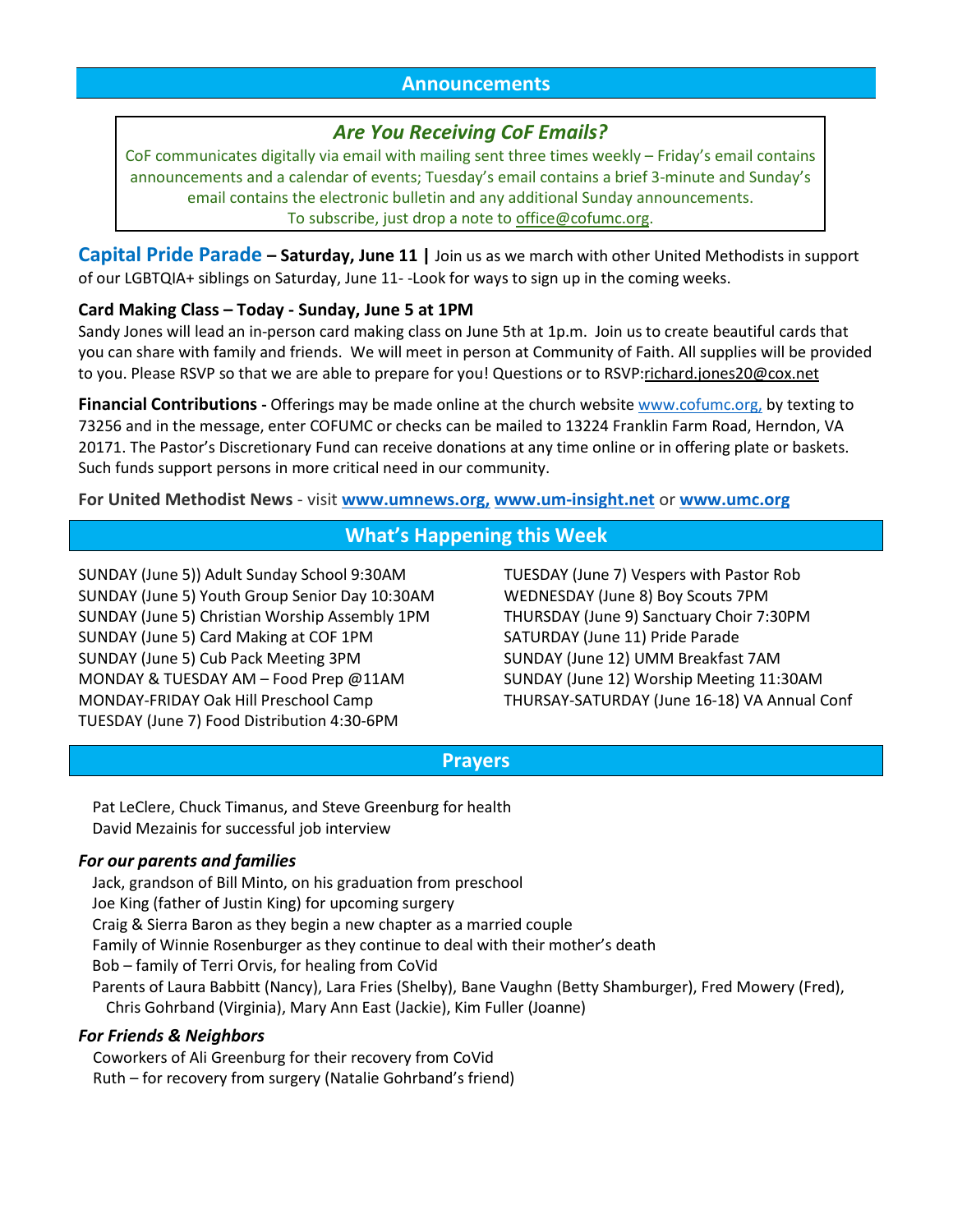### **Announcements**

# *Are You Receiving CoF Emails?*

CoF communicates digitally via email with mailing sent three times weekly – Friday's email contains announcements and a calendar of events; Tuesday's email contains a brief 3-minute and Sunday's email contains the electronic bulletin and any additional Sunday announcements. To subscribe, just drop a note to [office@cofumc.org.](mailto:office@cofumc.org)

**Capital Pride Parade – Saturday, June 11 |** Join us as we march with other United Methodists in support of our LGBTQIA+ siblings on Saturday, June 11- -Look for ways to sign up in the coming weeks.

### **Card Making Class – Today - Sunday, June 5 at 1PM**

Sandy Jones will lead an in-person card making class on June 5th at 1p.m. Join us to create beautiful cards that you can share with family and friends. We will meet in person at Community of Faith. All supplies will be provided to you. Please RSVP so that we are able to prepare for you! Questions or to RSVP[:richard.jones20@cox.net](mailto:richard.jones20@cox.net)

**Financial Contributions -** Offerings may be made online at the church website [www.cofumc.org,](http://www.cofumc.org/) by texting to 73256 and in the message, enter COFUMC or checks can be mailed to 13224 Franklin Farm Road, Herndon, VA 20171. The Pastor's Discretionary Fund can receive donations at any time online or in offering plate or baskets. Such funds support persons in more critical need in our community.

**For United Methodist News** - visit **www.umnews.org, [www.um-insight.net](http://www.umnews.org/)** or **[www.umc.org](http://www.umc.org/)**

# **What's Happening this Week**

SUNDAY (June 5)) Adult Sunday School 9:30AM SUNDAY (June 5) Youth Group Senior Day 10:30AM SUNDAY (June 5) Christian Worship Assembly 1PM SUNDAY (June 5) Card Making at COF 1PM SUNDAY (June 5) Cub Pack Meeting 3PM MONDAY & TUESDAY AM – Food Prep @11AM MONDAY-FRIDAY Oak Hill Preschool Camp TUESDAY (June 7) Food Distribution 4:30-6PM

TUESDAY (June 7) Vespers with Pastor Rob WEDNESDAY (June 8) Boy Scouts 7PM THURSDAY (June 9) Sanctuary Choir 7:30PM SATURDAY (June 11) Pride Parade SUNDAY (June 12) UMM Breakfast 7AM SUNDAY (June 12) Worship Meeting 11:30AM THURSAY-SATURDAY (June 16-18) VA Annual Conf

# **Prayers**

Pat LeClere, Chuck Timanus, and Steve Greenburg for health David Mezainis for successful job interview

### *For our parents and families*

Jack, grandson of Bill Minto, on his graduation from preschool Joe King (father of Justin King) for upcoming surgery Craig & Sierra Baron as they begin a new chapter as a married couple Family of Winnie Rosenburger as they continue to deal with their mother's death Bob – family of Terri Orvis, for healing from CoVid Parents of Laura Babbitt (Nancy), Lara Fries (Shelby), Bane Vaughn (Betty Shamburger), Fred Mowery (Fred), Chris Gohrband (Virginia), Mary Ann East (Jackie), Kim Fuller (Joanne)

# *For Friends & Neighbors*

Coworkers of Ali Greenburg for their recovery from CoVid Ruth – for recovery from surgery (Natalie Gohrband's friend)